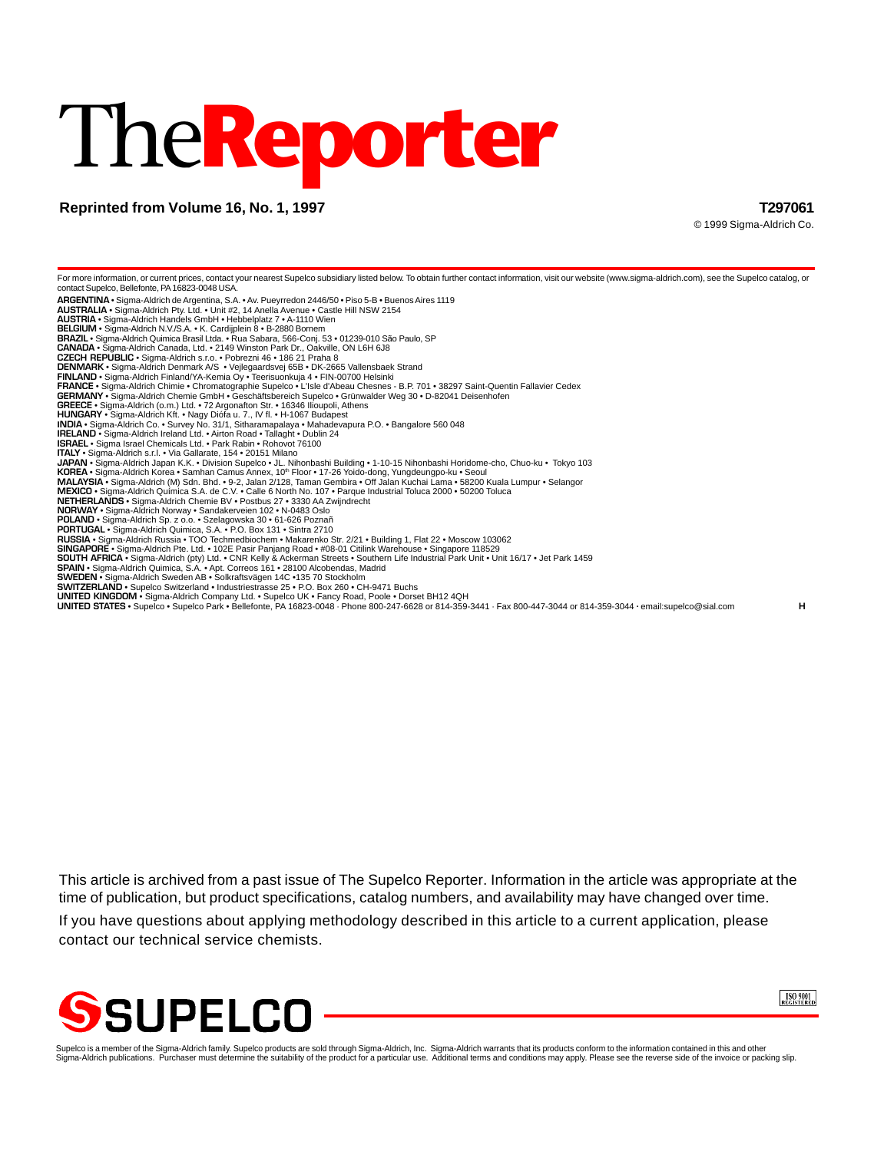# The**Reporter**

# **Reprinted from Volume 16, No. 1, 1997 T297061**

© 1999 Sigma-Aldrich Co.

For more information, or current prices, contact your nearest Supelco subsidiary listed below. To obtain further contact information, visit our website (www.sigma-aldrich.com), see the Supelco catalog, or contact Supelco, Bellefonte, PA 16823-0048 USA. **ARGENTINA** • Sigma-Aldrich de Argentina, S.A. • Av. Pueyrredon 2446/50 • Piso 5-B • Buenos Aires 1119 **AUSTRALIA** • Sigma-Aldrich Pty. Ltd. • Unit #2, 14 Anella Avenue • Castle Hill NSW 2154 **AUSTRIA** • Sigma-Aldrich Handels GmbH • Hebbelplatz 7 • A-1110 Wien **BELGIUM** • Sigma-Aldrich N.V./S.A. • K. Cardijplein 8 • B-2880 Bornem **BRAZIL** • Sigma-Aldrich Quimica Brasil Ltda. • Rua Sabara, 566-Conj. 53 • 01239-010 São Paulo, SP **CANADA** • Sigma-Aldrich Canada, Ltd. • 2149 Winston Park Dr., Oakville, ON L6H 6J8 **CZECH REPUBLIC** • Sigma-Aldrich s.r.o. • Pobrezni 46 • 186 21 Praha 8 **DENMARK** • Sigma-Aldrich Denmark A/S • Vejlegaardsvej 65B • DK-2665 Vallensbaek Strand **FINLAND •** Sigma-Aldrich Finland/YA-Kemia Oy • Teerisuonkuja 4 • FIN-00700 Helsinki<br>**FRANCE •** Sigma-Aldrich Chimie • Chromatographie Supelco • L'Isle d'Abeau Chesnes - B.P. 701 • 38297 Saint-Quentin Fallavier Cedex<br>**GER GREECE** • Sigma-Aldrich (o.m.) Ltd. • 72 Argonafton Str. • 16346 Ilioupoli, Athens **HUNGARY** • Sigma-Aldrich Kft. • Nagy Diófa u. 7., IV fl. • H-1067 Budapest **INDIA •** Sigma-Aldrich Co. • Survey No. 31/1, Sitharamapalaya • Mahadevapura P.O. • Bangalore 560 048<br>I**RELAND •** Sigma-Aldrich Ireland Ltd. • Airton Road • Tallaght • Dublin 24<br>**ISRAEL •** Sigma Israel Chemicals Ltd. • P **ITALY** • Sigma-Aldrich s.r.l. • Via Gallarate, 154 • 20151 Milano **JAPAN •** Sigma-Aldrich Japan K.K. • Division Supelco • JL. Nihonbashi Building • 1-10-15 Nihonbashi Horidome-cho, Chuo-ku • Tokyo 103<br>**KOREA •** Sigma-Aldrich Korea • Samhan Camus Annex, 10™ Floor • 17-26 Yoido-dong, Yung **MALAYSIA •** Sigma-Aldrich (M) Sdn. Bhd. • 9-2, Jalan 2/128, Taman Gembira • Off Jalan Kuchai Lama • 58200 Kuala Lumpur • Selangor<br>**MEXICO •** Sigma-Aldrich Química S.A. de C.V. • Calle 6 North No. 107 • Parque Industrial **POLAND** • Sigma-Aldrich Sp. z o.o. • Szelagowska 30 • 61-626 Poznañ **PORTUGAL** • Sigma-Aldrich Quimica, S.A. • P.O. Box 131 • Sintra 2710 **RUSSIA •** Sigma-Aldrich Russia • TOO Techmedbiochem • Makarenko Str. 2/21 • Building 1, Flat 22 • Moscow 103062<br>S**INGAPORE •** Sigma-Aldrich Pte. Ltd. • 102E Pasir Panjang Road • #08-01 Citilink Warehouse • Singapore 1185 **SWEDEN •** Sigma-Aldrich Sweden AB • Solkraftsvägen 14C •135 70 Stockholm<br>**SWITZERLAND •** Supelco Switzerland • Industriestrasse 25 • P.O. Box 260 • CH-9471 Buchs **UNITED KINGDOM •** Sigma-Aldrich Company Ltd. • Supelco UK • Fancy Road, Poole • Dorset BH12 4QH<br>**UNITED STATES •** Supelco • Supelco Park • Bellefonte, PA 16823-0048 · Phone 800-247-6628 or 814-359-3441 · Fax 800-447-3044

This article is archived from a past issue of The Supelco Reporter. Information in the article was appropriate at the time of publication, but product specifications, catalog numbers, and availability may have changed over time.

If you have questions about applying methodology described in this article to a current application, please contact our technical service chemists.



ISO 9001

Supelco is a member of the Sigma-Aldrich family. Supelco products are sold through Sigma-Aldrich, Inc. Sigma-Aldrich warrants that its products conform to the information contained in this and other<br>Sigma-Aldrich publicati